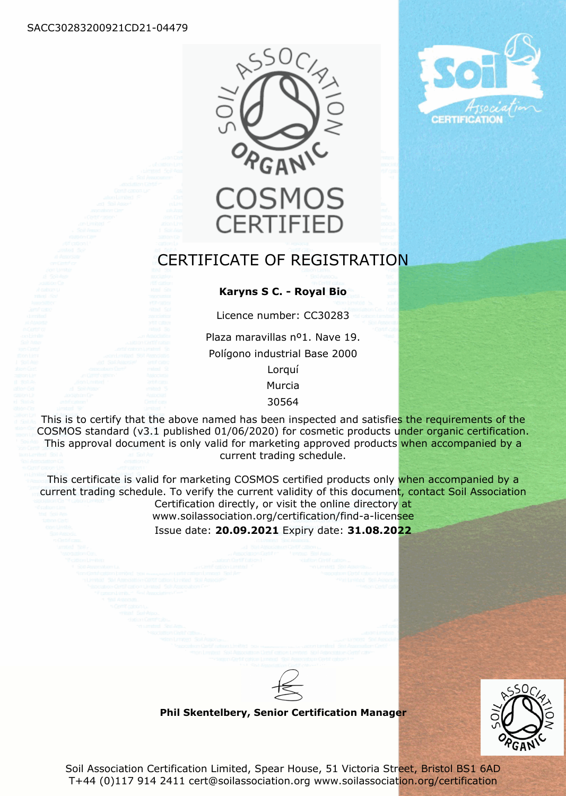



# CERTIFICATE OF REGISTRATION

#### **Karyns S C. - Royal Bio**

Licence number: CC30283

Plaza maravillas nº1. Nave 19. Polígono industrial Base 2000 Lorquí

Murcia

30564

This is to certify that the above named has been inspected and satisfies the requirements of the COSMOS standard (v3.1 published 01/06/2020) for cosmetic products under organic certification. This approval document is only valid for marketing approved products when accompanied by a current trading schedule.

This certificate is valid for marketing COSMOS certified products only when accompanied by a current trading schedule. To verify the current validity of this document, contact Soil Association Certification directly, or visit the online directory at

www.soilassociation.org/certification/find-a-licensee

Issue date: **20.09.2021** Expiry date: **31.08.2022**

**Phil Skentelbery, Senior Certification Manager**



Soil Association Certification Limited, Spear House, 51 Victoria Street, Bristol BS1 6AD T+44 (0)117 914 2411 cert@soilassociation.org www.soilassociation.org/certification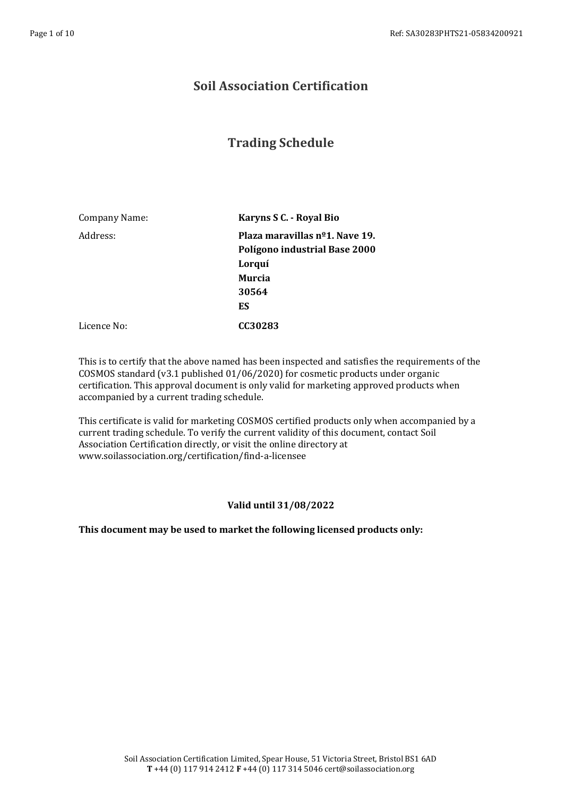### **Soil Association Certification**

## **Trading Schedule**

Company Name: **Karyns S C. - Royal Bio** Address: **Plaza maravillas nº1. Nave 19. Polígono industrial Base 2000 Lorquí Murcia 30564 ES** Licence No: **CC30283**

This is to certify that the above named has been inspected and satisfies the requirements of the COSMOS standard (v3.1 published 01/06/2020) for cosmetic products under organic certification. This approval document is only valid for marketing approved products when accompanied by a current trading schedule.

This certificate is valid for marketing COSMOS certified products only when accompanied by a current trading schedule. To verify the current validity of this document, contact Soil Association Certification directly, or visit the online directory at www.soilassociation.org/certification/find-a-licensee

#### **Valid until 31/08/2022**

**This document may be used to market the following licensed products only:**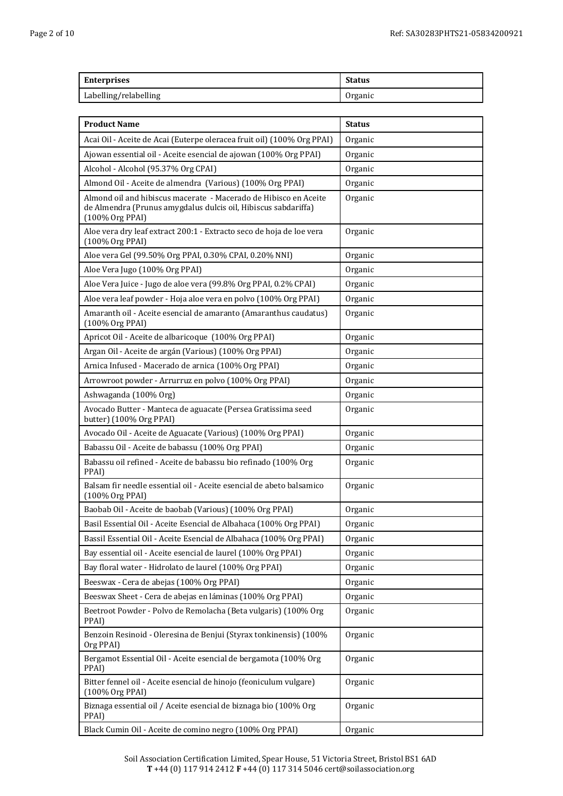| <b>Enterprises</b>    | <b>Status</b> |
|-----------------------|---------------|
| Labelling/relabelling | Organic       |

| <b>Product Name</b>                                                                                                                                   | <b>Status</b> |
|-------------------------------------------------------------------------------------------------------------------------------------------------------|---------------|
| Acai Oil - Aceite de Acai (Euterpe oleracea fruit oil) (100% Org PPAI)                                                                                | Organic       |
| Ajowan essential oil - Aceite esencial de ajowan (100% Org PPAI)                                                                                      | Organic       |
| Alcohol - Alcohol (95.37% Org CPAI)                                                                                                                   | Organic       |
| Almond Oil - Aceite de almendra (Various) (100% Org PPAI)                                                                                             | Organic       |
| Almond oil and hibiscus macerate - Macerado de Hibisco en Aceite<br>de Almendra (Prunus amygdalus dulcis oil, Hibiscus sabdariffa)<br>(100% Org PPAI) | Organic       |
| Aloe vera dry leaf extract 200:1 - Extracto seco de hoja de loe vera<br>(100% Org PPAI)                                                               | Organic       |
| Aloe vera Gel (99.50% Org PPAI, 0.30% CPAI, 0.20% NNI)                                                                                                | Organic       |
| Aloe Vera Jugo (100% Org PPAI)                                                                                                                        | Organic       |
| Aloe Vera Juice - Jugo de aloe vera (99.8% Org PPAI, 0.2% CPAI)                                                                                       | Organic       |
| Aloe vera leaf powder - Hoja aloe vera en polvo (100% Org PPAI)                                                                                       | Organic       |
| Amaranth oil - Aceite esencial de amaranto (Amaranthus caudatus)<br>(100% Org PPAI)                                                                   | Organic       |
| Apricot Oil - Aceite de albaricoque (100% Org PPAI)                                                                                                   | Organic       |
| Argan Oil - Aceite de argán (Various) (100% Org PPAI)                                                                                                 | Organic       |
| Arnica Infused - Macerado de arnica (100% Org PPAI)                                                                                                   | Organic       |
| Arrowroot powder - Arrurruz en polvo (100% Org PPAI)                                                                                                  | Organic       |
| Ashwaganda (100% Org)                                                                                                                                 | Organic       |
| Avocado Butter - Manteca de aguacate (Persea Gratissima seed<br>butter) (100% Org PPAI)                                                               | Organic       |
| Avocado Oil - Aceite de Aguacate (Various) (100% Org PPAI)                                                                                            | Organic       |
| Babassu Oil - Aceite de babassu (100% Org PPAI)                                                                                                       | Organic       |
| Babassu oil refined - Aceite de babassu bio refinado (100% Org<br>PPAI)                                                                               | Organic       |
| Balsam fir needle essential oil - Aceite esencial de abeto balsamico<br>(100% Org PPAI)                                                               | Organic       |
| Baobab Oil - Aceite de baobab (Various) (100% Org PPAI)                                                                                               | Organic       |
| Basil Essential Oil - Aceite Esencial de Albahaca (100% Org PPAI)                                                                                     | Organic       |
| Bassil Essential Oil - Aceite Esencial de Albahaca (100% Org PPAI)                                                                                    | Organic       |
| Bay essential oil - Aceite esencial de laurel (100% Org PPAI)                                                                                         | Organic       |
| Bay floral water - Hidrolato de laurel (100% Org PPAI)                                                                                                | Organic       |
| Beeswax - Cera de abejas (100% Org PPAI)                                                                                                              | Organic       |
| Beeswax Sheet - Cera de abejas en láminas (100% Org PPAI)                                                                                             | Organic       |
| Beetroot Powder - Polvo de Remolacha (Beta vulgaris) (100% Org<br>PPAI)                                                                               | Organic       |
| Benzoin Resinoid - Oleresina de Benjui (Styrax tonkinensis) (100%<br>Org PPAI)                                                                        | Organic       |
| Bergamot Essential Oil - Aceite esencial de bergamota (100% Org<br>PPAI)                                                                              | Organic       |
| Bitter fennel oil - Aceite esencial de hinojo (feoniculum vulgare)<br>(100% Org PPAI)                                                                 | Organic       |
| Biznaga essential oil / Aceite esencial de biznaga bio (100% Org<br>PPAI)                                                                             | Organic       |
| Black Cumin Oil - Aceite de comino negro (100% Org PPAI)                                                                                              | Organic       |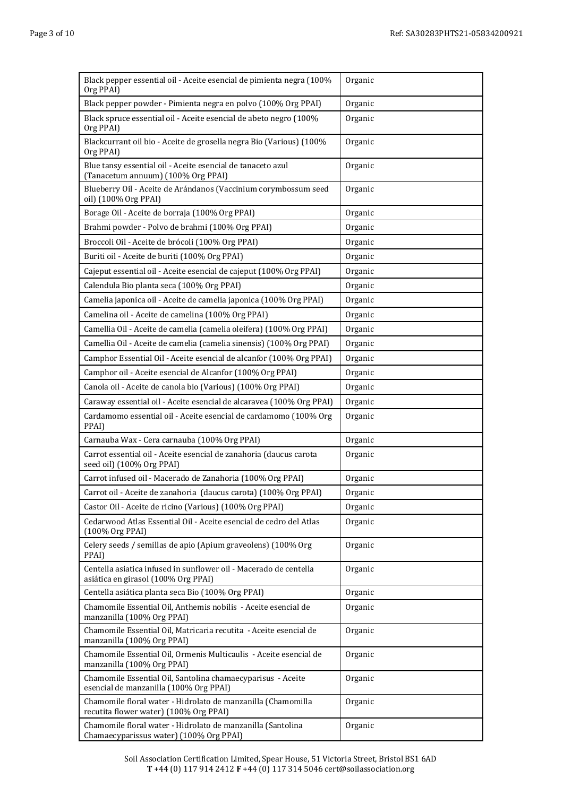| Page 3 of 10 |  |  |
|--------------|--|--|
|              |  |  |

| Black pepper essential oil - Aceite esencial de pimienta negra (100%<br>Org PPAI)                                                                                     | Organic |
|-----------------------------------------------------------------------------------------------------------------------------------------------------------------------|---------|
| Black pepper powder - Pimienta negra en polvo (100% Org PPAI)                                                                                                         | Organic |
| Black spruce essential oil - Aceite esencial de abeto negro (100%<br>Org PPAI)                                                                                        | Organic |
| Blackcurrant oil bio - Aceite de grosella negra Bio (Various) (100%<br>Org PPAI)                                                                                      | Organic |
| Blue tansy essential oil - Aceite esencial de tanaceto azul<br>(Tanacetum annuum) (100% Org PPAI)                                                                     | Organic |
| Blueberry Oil - Aceite de Arándanos (Vaccinium corymbossum seed<br>oil) (100% Org PPAI)                                                                               | Organic |
| Borage Oil - Aceite de borraja (100% Org PPAI)                                                                                                                        | Organic |
| Brahmi powder - Polvo de brahmi (100% Org PPAI)                                                                                                                       | Organic |
| Broccoli Oil - Aceite de brócoli (100% Org PPAI)                                                                                                                      | Organic |
| Buriti oil - Aceite de buriti (100% Org PPAI)                                                                                                                         | Organic |
| Cajeput essential oil - Aceite esencial de cajeput (100% Org PPAI)                                                                                                    | Organic |
| Calendula Bio planta seca (100% Org PPAI)                                                                                                                             | Organic |
| Camelia japonica oil - Aceite de camelia japonica (100% Org PPAI)                                                                                                     | Organic |
| Camelina oil - Aceite de camelina (100% Org PPAI)                                                                                                                     | Organic |
| Camellia Oil - Aceite de camelia (camelia oleifera) (100% Org PPAI)                                                                                                   | Organic |
| Camellia Oil - Aceite de camelia (camelia sinensis) (100% Org PPAI)                                                                                                   | Organic |
| Camphor Essential Oil - Aceite esencial de alcanfor (100% Org PPAI)                                                                                                   | Organic |
| Camphor oil - Aceite esencial de Alcanfor (100% Org PPAI)                                                                                                             | Organic |
| Canola oil - Aceite de canola bio (Various) (100% Org PPAI)                                                                                                           | Organic |
| Caraway essential oil - Aceite esencial de alcaravea (100% Org PPAI)                                                                                                  | Organic |
| Cardamomo essential oil - Aceite esencial de cardamomo (100% Org<br>PPAI)                                                                                             | Organic |
| Carnauba Wax - Cera carnauba (100% Org PPAI)                                                                                                                          | Organic |
| Carrot essential oil - Aceite esencial de zanahoria (daucus carota<br>seed oil) (100% Org PPAI)                                                                       | Organic |
| Carrot infused oil - Macerado de Zanahoria (100% Org PPAI)                                                                                                            | Organic |
| Carrot oil - Aceite de zanahoria (daucus carota) (100% Org PPAI)                                                                                                      | Organic |
| Castor Oil - Aceite de ricino (Various) (100% Org PPAI)                                                                                                               | Organic |
| Cedarwood Atlas Essential Oil - Aceite esencial de cedro del Atlas<br>(100% Org PPAI)                                                                                 | Organic |
| Celery seeds / semillas de apio (Apium graveolens) (100% Org<br>PPAI)                                                                                                 | Organic |
| Centella asiatica infused in sunflower oil - Macerado de centella<br>asiática en girasol (100% Org PPAI)                                                              | Organic |
| Centella asiática planta seca Bio (100% Org PPAI)                                                                                                                     | Organic |
| Chamomile Essential Oil, Anthemis nobilis - Aceite esencial de<br>manzanilla (100% Org PPAI)                                                                          | Organic |
| Chamomile Essential Oil, Matricaria recutita - Aceite esencial de<br>manzanilla (100% Org PPAI)                                                                       | Organic |
| Chamomile Essential Oil, Ormenis Multicaulis - Aceite esencial de<br>manzanilla (100% Org PPAI)                                                                       | Organic |
|                                                                                                                                                                       |         |
| Chamomile Essential Oil, Santolina chamaecyparisus - Aceite<br>esencial de manzanilla (100% Org PPAI)                                                                 | Organic |
| Chamomile floral water - Hidrolato de manzanilla (Chamomilla<br>recutita flower water) (100% Org PPAI)<br>Chamomile floral water - Hidrolato de manzanilla (Santolina | Organic |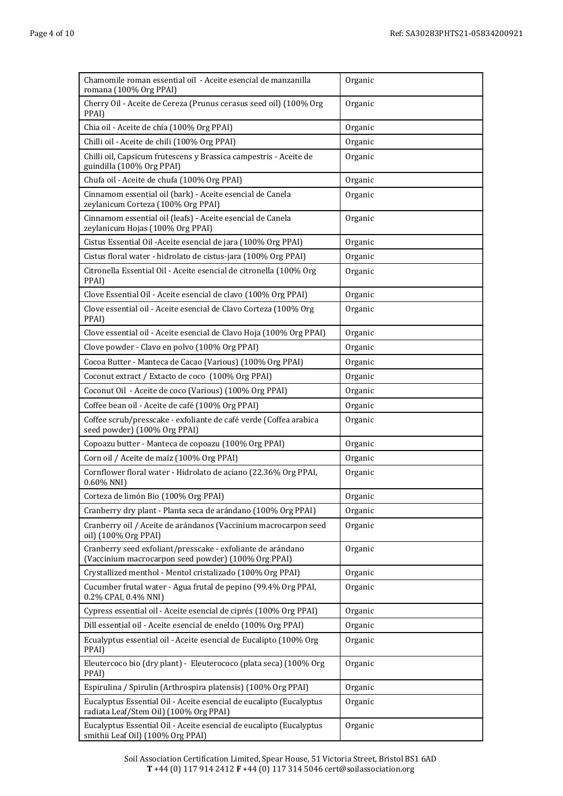| Chamomile roman essential oil - Aceite esencial de manzanilla<br>romana (100% Org PPAI)                            | Organic |
|--------------------------------------------------------------------------------------------------------------------|---------|
| Cherry Oil - Aceite de Cereza (Prunus cerasus seed oil) (100% Org<br>PPAI)                                         | Organic |
| Chia oil - Aceite de chía (100% Org PPAI)                                                                          | Organic |
| Chilli oil - Aceite de chili (100% Org PPAI)                                                                       | Organic |
| Chilli oil, Capsicum frutescens y Brassica campestris - Aceite de<br>guindilla (100% Org PPAI)                     | Organic |
| Chufa oil - Aceite de chufa (100% Org PPAI)                                                                        | Organic |
| Cinnamom essential oil (bark) - Aceite esencial de Canela<br>zeylanicum Corteza (100% Org PPAI)                    | Organic |
| Cinnamom essential oil (leafs) - Aceite esencial de Canela<br>zeylanicum Hojas (100% Org PPAI)                     | Organic |
| Cistus Essential Oil - Aceite esencial de jara (100% Org PPAI)                                                     | Organic |
| Cistus floral water - hidrolato de cistus-jara (100% Org PPAI)                                                     | Organic |
| Citronella Essential Oil - Aceite esencial de citronella (100% Org<br>PPAI)                                        | Organic |
| Clove Essential Oil - Aceite esencial de clavo (100% Org PPAI)                                                     | Organic |
| Clove essential oil - Aceite esencial de Clavo Corteza (100% Org<br>PPAI)                                          | Organic |
| Clove essential oil - Aceite esencial de Clavo Hoja (100% Org PPAI)                                                | Organic |
| Clove powder - Clavo en polvo (100% Org PPAI)                                                                      | Organic |
| Cocoa Butter - Manteca de Cacao (Various) (100% Org PPAI)                                                          | Organic |
| Coconut extract / Extacto de coco (100% Org PPAI)                                                                  | Organic |
| Coconut Oil - Aceite de coco (Various) (100% Org PPAI)                                                             | Organic |
| Coffee bean oil - Aceite de café (100% Org PPAI)                                                                   | Organic |
| Coffee scrub/presscake - exfoliante de café verde (Coffea arabica<br>seed powder) (100% Org PPAI)                  | Organic |
| Copoazu butter - Manteca de copoazu (100% Org PPAI)                                                                | Organic |
| Corn oil / Aceite de maíz (100% Org PPAI)                                                                          | Organic |
| Cornflower floral water - Hidrolato de aciano (22.36% Org PPAI,<br>0.60% NNI)                                      | Organic |
| Corteza de limón Bio (100% Org PPAI)                                                                               | Organic |
| Cranberry dry plant - Planta seca de arándano (100% Org PPAI)                                                      | Organic |
| Cranberry oil / Aceite de arándanos (Vaccinium macrocarpon seed<br>oil) (100% Org PPAI)                            | Organic |
| Cranberry seed exfoliant/presscake - exfoliante de arándano<br>(Vaccinium macrocarpon seed powder) (100% Org PPAI) | Organic |
| Crystallized menthol - Mentol cristalizado (100% Org PPAI)                                                         | Organic |
| Cucumber frutal water - Agua frutal de pepino (99.4% Org PPAI,<br>0.2% CPAI, 0.4% NNI)                             | Organic |
| Cypress essential oil - Aceite esencial de ciprés (100% Org PPAI)                                                  | Organic |
| Dill essential oil - Aceite esencial de eneldo (100% Org PPAI)                                                     | Organic |
| Ecualyptus essential oil - Aceite esencial de Eucalipto (100% Org<br>PPAI)                                         | Organic |
| Eleutercoco bio (dry plant) - Eleuterococo (plata seca) (100% Org<br>PPAI)                                         | Organic |
| Espirulina / Spirulin (Arthrospira platensis) (100% Org PPAI)                                                      | Organic |
| Eucalyptus Essential Oil - Aceite esencial de eucalipto (Eucalyptus<br>radiata Leaf/Stem Oil) (100% Org PPAI)      | Organic |
| Eucalyptus Essential Oil - Aceite esencial de eucalipto (Eucalyptus<br>smithii Leaf Oil) (100% Org PPAI)           | Organic |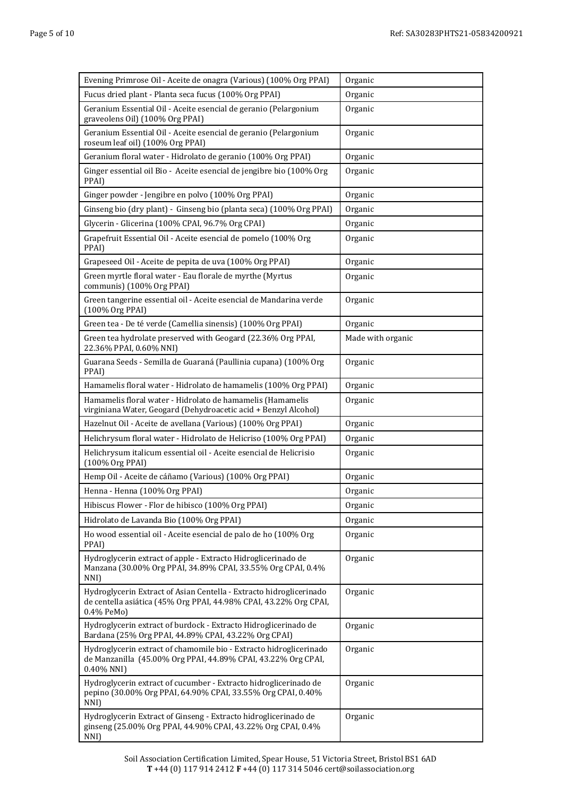| Evening Primrose Oil - Aceite de onagra (Various) (100% Org PPAI)                                                                                      | Organic           |
|--------------------------------------------------------------------------------------------------------------------------------------------------------|-------------------|
| Fucus dried plant - Planta seca fucus (100% Org PPAI)                                                                                                  | Organic           |
| Geranium Essential Oil - Aceite esencial de geranio (Pelargonium<br>graveolens Oil) (100% Org PPAI)                                                    | Organic           |
| Geranium Essential Oil - Aceite esencial de geranio (Pelargonium<br>roseum leaf oil) (100% Org PPAI)                                                   | Organic           |
| Geranium floral water - Hidrolato de geranio (100% Org PPAI)                                                                                           | Organic           |
| Ginger essential oil Bio - Aceite esencial de jengibre bio (100% Org<br>PPAI)                                                                          | Organic           |
| Ginger powder - Jengibre en polvo (100% Org PPAI)                                                                                                      | Organic           |
| Ginseng bio (dry plant) - Ginseng bio (planta seca) (100% Org PPAI)                                                                                    | Organic           |
| Glycerin - Glicerina (100% CPAI, 96.7% Org CPAI)                                                                                                       | Organic           |
| Grapefruit Essential Oil - Aceite esencial de pomelo (100% Org<br>PPAI)                                                                                | Organic           |
| Grapeseed Oil - Aceite de pepita de uva (100% Org PPAI)                                                                                                | Organic           |
| Green myrtle floral water - Eau florale de myrthe (Myrtus<br>communis) (100% Org PPAI)                                                                 | Organic           |
| Green tangerine essential oil - Aceite esencial de Mandarina verde<br>(100% Org PPAI)                                                                  | Organic           |
| Green tea - De té verde (Camellia sinensis) (100% Org PPAI)                                                                                            | Organic           |
| Green tea hydrolate preserved with Geogard (22.36% Org PPAI,<br>22.36% PPAI, 0.60% NNI)                                                                | Made with organic |
| Guarana Seeds - Semilla de Guaraná (Paullinia cupana) (100% Org<br>PPAI)                                                                               | Organic           |
| Hamamelis floral water - Hidrolato de hamamelis (100% Org PPAI)                                                                                        | Organic           |
| Hamamelis floral water - Hidrolato de hamamelis (Hamamelis<br>virginiana Water, Geogard (Dehydroacetic acid + Benzyl Alcohol)                          | Organic           |
| Hazelnut Oil - Aceite de avellana (Various) (100% Org PPAI)                                                                                            | Organic           |
| Helichrysum floral water - Hidrolato de Helicriso (100% Org PPAI)                                                                                      | Organic           |
| Helichrysum italicum essential oil - Aceite esencial de Helicrisio<br>(100% Org PPAI)                                                                  | Organic           |
| Hemp Oil - Aceite de cáñamo (Various) (100% Org PPAI)                                                                                                  | Organic           |
| Henna - Henna (100% Org PPAI)                                                                                                                          | Organic           |
| Hibiscus Flower - Flor de hibisco (100% Org PPAI)                                                                                                      | Organic           |
| Hidrolato de Lavanda Bio (100% Org PPAI)                                                                                                               | Organic           |
| Ho wood essential oil - Aceite esencial de palo de ho (100% Org<br>PPAI)                                                                               | Organic           |
| Hydroglycerin extract of apple - Extracto Hidroglicerinado de<br>Manzana (30.00% Org PPAI, 34.89% CPAI, 33.55% Org CPAI, 0.4%<br>NNI)                  | Organic           |
| Hydroglycerin Extract of Asian Centella - Extracto hidroglicerinado<br>de centella asiática (45% Org PPAI, 44.98% CPAI, 43.22% Org CPAI,<br>0.4% PeMo) | Organic           |
| Hydroglycerin extract of burdock - Extracto Hidroglicerinado de<br>Bardana (25% Org PPAI, 44.89% CPAI, 43.22% Org CPAI)                                | Organic           |
| Hydroglycerin extract of chamomile bio - Extracto hidroglicerinado<br>de Manzanilla (45.00% Org PPAI, 44.89% CPAI, 43.22% Org CPAI,<br>0.40% NNI)      | Organic           |
| Hydroglycerin extract of cucumber - Extracto hidroglicerinado de<br>pepino (30.00% Org PPAI, 64.90% CPAI, 33.55% Org CPAI, 0.40%<br>NNI)               | Organic           |
| Hydroglycerin Extract of Ginseng - Extracto hidroglicerinado de<br>ginseng (25.00% Org PPAI, 44.90% CPAI, 43.22% Org CPAI, 0.4%<br>NNI)                | Organic           |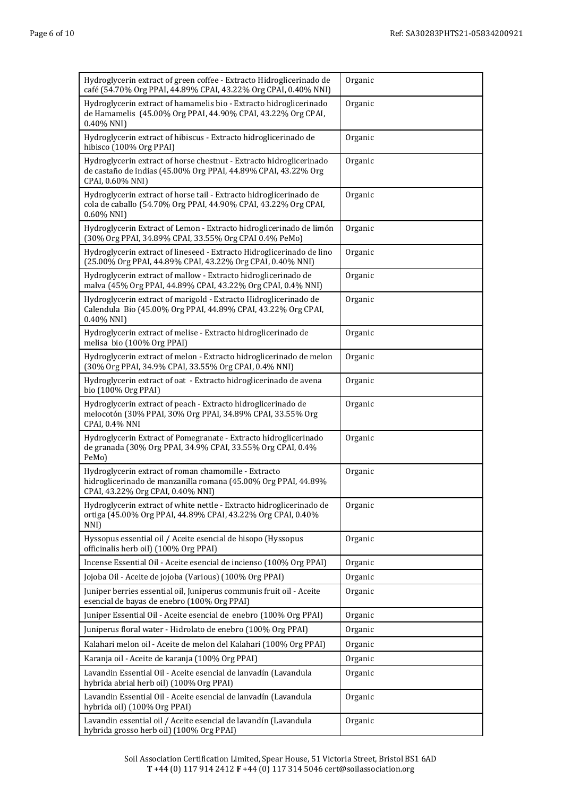| Hydroglycerin extract of green coffee - Extracto Hidroglicerinado de<br>café (54.70% Org PPAI, 44.89% CPAI, 43.22% Org CPAI, 0.40% NNI)                     | Organic |
|-------------------------------------------------------------------------------------------------------------------------------------------------------------|---------|
| Hydroglycerin extract of hamamelis bio - Extracto hidroglicerinado<br>de Hamamelis (45.00% Org PPAI, 44.90% CPAI, 43.22% Org CPAI,<br>0.40% NNI)            | Organic |
| Hydroglycerin extract of hibiscus - Extracto hidroglicerinado de<br>hibisco (100% Org PPAI)                                                                 | Organic |
| Hydroglycerin extract of horse chestnut - Extracto hidroglicerinado<br>de castaño de indias (45.00% Org PPAI, 44.89% CPAI, 43.22% Org<br>CPAI, 0.60% NNI)   | Organic |
| Hydroglycerin extract of horse tail - Extracto hidroglicerinado de<br>cola de caballo (54.70% Org PPAI, 44.90% CPAI, 43.22% Org CPAI,<br>0.60% NNI)         | Organic |
| Hydroglycerin Extract of Lemon - Extracto hidroglicerinado de limón<br>(30% Org PPAI, 34.89% CPAI, 33.55% Org CPAI 0.4% PeMo)                               | Organic |
| Hydroglycerin extract of lineseed - Extracto Hidroglicerinado de lino<br>(25.00% Org PPAI, 44.89% CPAI, 43.22% Org CPAI, 0.40% NNI)                         | Organic |
| Hydroglycerin extract of mallow - Extracto hidroglicerinado de<br>malva (45% Org PPAI, 44.89% CPAI, 43.22% Org CPAI, 0.4% NNI)                              | Organic |
| Hydroglycerin extract of marigold - Extracto Hidroglicerinado de<br>Calendula Bio (45.00% Org PPAI, 44.89% CPAI, 43.22% Org CPAI,<br>$0.40\%$ NNI)          | Organic |
| Hydroglycerin extract of melise - Extracto hidroglicerinado de<br>melisa bio (100% Org PPAI)                                                                | Organic |
| Hydroglycerin extract of melon - Extracto hidroglicerinado de melon<br>(30% Org PPAI, 34.9% CPAI, 33.55% Org CPAI, 0.4% NNI)                                | Organic |
| Hydroglycerin extract of oat - Extracto hidroglicerinado de avena<br>bio (100% Org PPAI)                                                                    | Organic |
| Hydroglycerin extract of peach - Extracto hidroglicerinado de<br>melocotón (30% PPAI, 30% Org PPAI, 34.89% CPAI, 33.55% Org<br>CPAI, 0.4% NNI               | Organic |
| Hydroglycerin Extract of Pomegranate - Extracto hidroglicerinado<br>de granada (30% Org PPAI, 34.9% CPAI, 33.55% Org CPAI, 0.4%<br>PeMo)                    | Organic |
| Hydroglycerin extract of roman chamomille - Extracto<br>hidroglicerinado de manzanilla romana (45.00% Org PPAI, 44.89%<br>CPAI, 43.22% Org CPAI, 0.40% NNI) | Organic |
| Hydroglycerin extract of white nettle - Extracto hidroglicerinado de<br>ortiga (45.00% Org PPAI, 44.89% CPAI, 43.22% Org CPAI, 0.40%<br>NNI)                | Organic |
| Hyssopus essential oil / Aceite esencial de hisopo (Hyssopus<br>officinalis herb oil) (100% Org PPAI)                                                       | Organic |
| Incense Essential Oil - Aceite esencial de incienso (100% Org PPAI)                                                                                         | Organic |
| Jojoba Oil - Aceite de jojoba (Various) (100% Org PPAI)                                                                                                     | Organic |
| Juniper berries essential oil, Juniperus communis fruit oil - Aceite<br>esencial de bayas de enebro (100% Org PPAI)                                         | Organic |
| Juniper Essential Oil - Aceite esencial de enebro (100% Org PPAI)                                                                                           | Organic |
| Juniperus floral water - Hidrolato de enebro (100% Org PPAI)                                                                                                | Organic |
| Kalahari melon oil - Aceite de melon del Kalahari (100% Org PPAI)                                                                                           | Organic |
| Karanja oil - Aceite de karanja (100% Org PPAI)                                                                                                             | Organic |
| Lavandin Essential Oil - Aceite esencial de lanvadín (Lavandula<br>hybrida abrial herb oil) (100% Org PPAI)                                                 | Organic |
| Lavandin Essential Oil - Aceite esencial de lanvadín (Lavandula<br>hybrida oil) (100% Org PPAI)                                                             | Organic |
| Lavandin essential oil / Aceite esencial de lavandín (Lavandula<br>hybrida grosso herb oil) (100% Org PPAI)                                                 | Organic |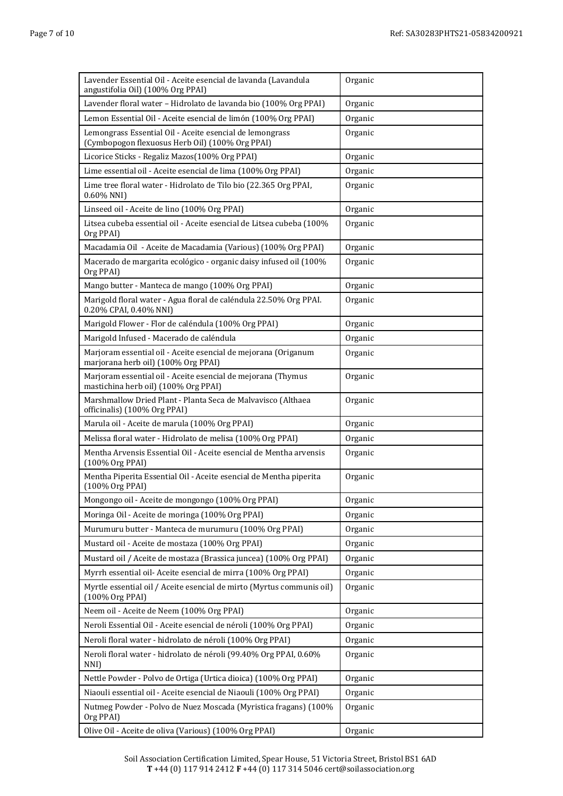| Lavender Essential Oil - Aceite esencial de lavanda (Lavandula<br>angustifolia Oil) (100% Org PPAI)         | Organic |
|-------------------------------------------------------------------------------------------------------------|---------|
| Lavender floral water - Hidrolato de lavanda bio (100% Org PPAI)                                            | Organic |
| Lemon Essential Oil - Aceite esencial de limón (100% Org PPAI)                                              | Organic |
| Lemongrass Essential Oil - Aceite esencial de lemongrass<br>(Cymbopogon flexuosus Herb Oil) (100% Org PPAI) | Organic |
| Licorice Sticks - Regaliz Mazos(100% Org PPAI)                                                              | Organic |
| Lime essential oil - Aceite esencial de lima (100% Org PPAI)                                                | Organic |
| Lime tree floral water - Hidrolato de Tilo bio (22.365 Org PPAI,<br>0.60% NNI)                              | Organic |
| Linseed oil - Aceite de lino (100% Org PPAI)                                                                | Organic |
| Litsea cubeba essential oil - Aceite esencial de Litsea cubeba (100%<br>Org PPAI)                           | Organic |
| Macadamia Oil - Aceite de Macadamia (Various) (100% Org PPAI)                                               | Organic |
| Macerado de margarita ecológico - organic daisy infused oil (100%<br>Org PPAI)                              | Organic |
| Mango butter - Manteca de mango (100% Org PPAI)                                                             | Organic |
| Marigold floral water - Agua floral de caléndula 22.50% Org PPAI.<br>0.20% CPAI, 0.40% NNI)                 | Organic |
| Marigold Flower - Flor de caléndula (100% Org PPAI)                                                         | Organic |
| Marigold Infused - Macerado de caléndula                                                                    | Organic |
| Marjoram essential oil - Aceite esencial de mejorana (Origanum<br>marjorana herb oil) (100% Org PPAI)       | Organic |
| Marjoram essential oil - Aceite esencial de mejorana (Thymus<br>mastichina herb oil) (100% Org PPAI)        | Organic |
| Marshmallow Dried Plant - Planta Seca de Malvavisco (Althaea<br>officinalis) (100% Org PPAI)                | Organic |
| Marula oil - Aceite de marula (100% Org PPAI)                                                               | Organic |
| Melissa floral water - Hidrolato de melisa (100% Org PPAI)                                                  | Organic |
| Mentha Arvensis Essential Oil - Aceite esencial de Mentha arvensis<br>(100% Org PPAI)                       | Organic |
| Mentha Piperita Essential Oil - Aceite esencial de Mentha piperita<br>(100% Org PPAI)                       | Organic |
| Mongongo oil - Aceite de mongongo (100% Org PPAI)                                                           | Organic |
| Moringa Oil - Aceite de moringa (100% Org PPAI)                                                             | Organic |
| Murumuru butter - Manteca de murumuru (100% Org PPAI)                                                       | Organic |
| Mustard oil - Aceite de mostaza (100% Org PPAI)                                                             | Organic |
| Mustard oil / Aceite de mostaza (Brassica juncea) (100% Org PPAI)                                           | Organic |
| Myrrh essential oil- Aceite esencial de mirra (100% Org PPAI)                                               | Organic |
| Myrtle essential oil / Aceite esencial de mirto (Myrtus communis oil)<br>(100% Org PPAI)                    | Organic |
| Neem oil - Aceite de Neem (100% Org PPAI)                                                                   | Organic |
| Neroli Essential Oil - Aceite esencial de néroli (100% Org PPAI)                                            | Organic |
| Neroli floral water - hidrolato de néroli (100% Org PPAI)                                                   | Organic |
| Neroli floral water - hidrolato de néroli (99.40% Org PPAI, 0.60%<br>NNI)                                   | Organic |
| Nettle Powder - Polvo de Ortiga (Urtica dioica) (100% Org PPAI)                                             | Organic |
| Niaouli essential oil - Aceite esencial de Niaouli (100% Org PPAI)                                          | Organic |
| Nutmeg Powder - Polvo de Nuez Moscada (Myristica fragans) (100%<br>Org PPAI)                                | Organic |
| Olive Oil - Aceite de oliva (Various) (100% Org PPAI)                                                       | Organic |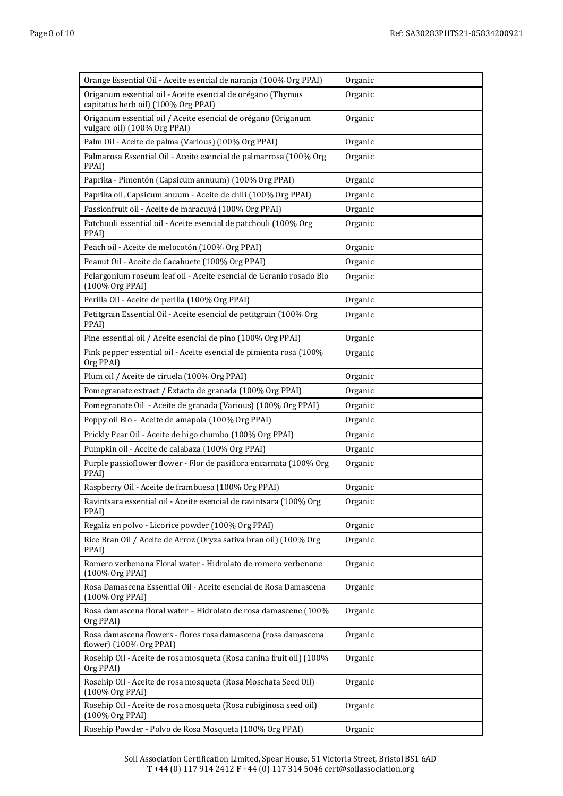| Orange Essential Oil - Aceite esencial de naranja (100% Org PPAI)                                  | Organic |
|----------------------------------------------------------------------------------------------------|---------|
| Origanum essential oil - Aceite esencial de orégano (Thymus<br>capitatus herb oil) (100% Org PPAI) | Organic |
| Origanum essential oil / Aceite esencial de orégano (Origanum<br>vulgare oil) (100% Org PPAI)      | Organic |
| Palm Oil - Aceite de palma (Various) (!00% Org PPAI)                                               | Organic |
| Palmarosa Essential Oil - Aceite esencial de palmarrosa (100% Org<br>PPAI)                         | Organic |
| Paprika - Pimentón (Capsicum annuum) (100% Org PPAI)                                               | Organic |
| Paprika oil, Capsicum anuum - Aceite de chili (100% Org PPAI)                                      | Organic |
| Passionfruit oil - Aceite de maracuyá (100% Org PPAI)                                              | Organic |
| Patchouli essential oil - Aceite esencial de patchouli (100% Org<br>PPAI)                          | Organic |
| Peach oil - Aceite de melocotón (100% Org PPAI)                                                    | Organic |
| Peanut Oil - Aceite de Cacahuete (100% Org PPAI)                                                   | Organic |
| Pelargonium roseum leaf oil - Aceite esencial de Geranio rosado Bio<br>(100% Org PPAI)             | Organic |
| Perilla Oil - Aceite de perilla (100% Org PPAI)                                                    | Organic |
| Petitgrain Essential Oil - Aceite esencial de petitgrain (100% Org<br>PPAI)                        | Organic |
| Pine essential oil / Aceite esencial de pino (100% Org PPAI)                                       | Organic |
| Pink pepper essential oil - Aceite esencial de pimienta rosa (100%<br>Org PPAI)                    | Organic |
| Plum oil / Aceite de ciruela (100% Org PPAI)                                                       | Organic |
| Pomegranate extract / Extacto de granada (100% Org PPAI)                                           | Organic |
| Pomegranate Oil - Aceite de granada (Various) (100% Org PPAI)                                      | Organic |
| Poppy oil Bio - Aceite de amapola (100% Org PPAI)                                                  | Organic |
| Prickly Pear Oil - Aceite de higo chumbo (100% Org PPAI)                                           | Organic |
| Pumpkin oil - Aceite de calabaza (100% Org PPAI)                                                   | Organic |
| Purple passioflower flower - Flor de pasiflora encarnata (100% Org<br>PPAI)                        | Organic |
| Raspberry Oil - Aceite de frambuesa (100% Org PPAI)                                                | Organic |
| Ravintsara essential oil - Aceite esencial de ravintsara (100% Org<br>PPAI)                        | Organic |
| Regaliz en polvo - Licorice powder (100% Org PPAI)                                                 | Organic |
| Rice Bran Oil / Aceite de Arroz (Oryza sativa bran oil) (100% Org<br>PPAI)                         | Organic |
| Romero verbenona Floral water - Hidrolato de romero verbenone<br>(100% Org PPAI)                   | Organic |
| Rosa Damascena Essential Oil - Aceite esencial de Rosa Damascena<br>(100% Org PPAI)                | Organic |
| Rosa damascena floral water - Hidrolato de rosa damascene (100%<br>Org PPAI)                       | Organic |
| Rosa damascena flowers - flores rosa damascena (rosa damascena<br>flower) (100% Org PPAI)          | Organic |
| Rosehip Oil - Aceite de rosa mosqueta (Rosa canina fruit oil) (100%<br>Org PPAI)                   | Organic |
| Rosehip Oil - Aceite de rosa mosqueta (Rosa Moschata Seed Oil)<br>(100% Org PPAI)                  | Organic |
| Rosehip Oil - Aceite de rosa mosqueta (Rosa rubiginosa seed oil)<br>(100% Org PPAI)                | Organic |
| Rosehip Powder - Polvo de Rosa Mosqueta (100% Org PPAI)                                            | Organic |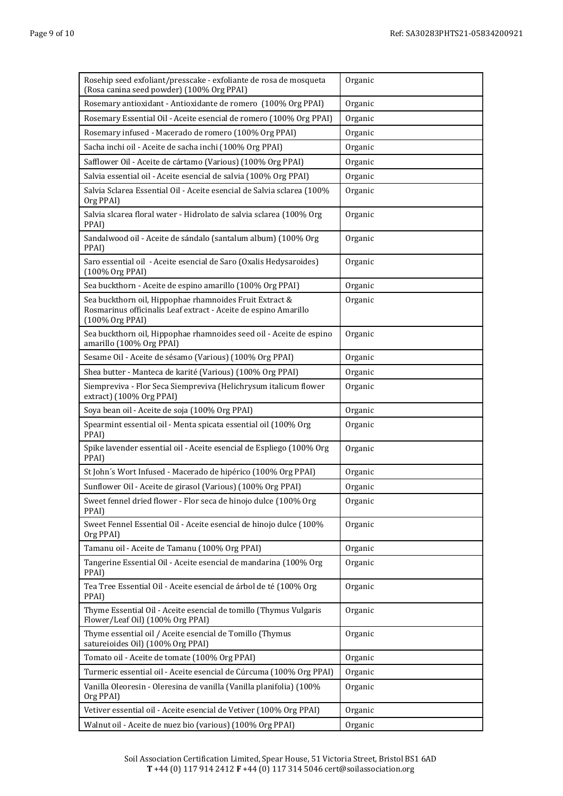| Rosehip seed exfoliant/presscake - exfoliante de rosa de mosqueta<br>(Rosa canina seed powder) (100% Org PPAI)                                | Organic |
|-----------------------------------------------------------------------------------------------------------------------------------------------|---------|
| Rosemary antioxidant - Antioxidante de romero (100% Org PPAI)                                                                                 | Organic |
| Rosemary Essential Oil - Aceite esencial de romero (100% Org PPAI)                                                                            | Organic |
| Rosemary infused - Macerado de romero (100% Org PPAI)                                                                                         | Organic |
| Sacha inchi oil - Aceite de sacha inchi (100% Org PPAI)                                                                                       | Organic |
| Safflower Oil - Aceite de cártamo (Various) (100% Org PPAI)                                                                                   | Organic |
| Salvia essential oil - Aceite esencial de salvia (100% Org PPAI)                                                                              | Organic |
| Salvia Sclarea Essential Oil - Aceite esencial de Salvia sclarea (100%<br>Org PPAI)                                                           | Organic |
| Salvia slcarea floral water - Hidrolato de salvia sclarea (100% Org<br>PPAI)                                                                  | Organic |
| Sandalwood oil - Aceite de sándalo (santalum album) (100% Org<br>PPAI)                                                                        | Organic |
| Saro essential oil - Aceite esencial de Saro (Oxalis Hedysaroides)<br>(100% Org PPAI)                                                         | Organic |
| Sea buckthorn - Aceite de espino amarillo (100% Org PPAI)                                                                                     | Organic |
| Sea buckthorn oil, Hippophae rhamnoides Fruit Extract &<br>Rosmarinus officinalis Leaf extract - Aceite de espino Amarillo<br>(100% Org PPAI) | Organic |
| Sea buckthorn oil, Hippophae rhamnoides seed oil - Aceite de espino<br>amarillo (100% Org PPAI)                                               | Organic |
| Sesame Oil - Aceite de sésamo (Various) (100% Org PPAI)                                                                                       | Organic |
| Shea butter - Manteca de karité (Various) (100% Org PPAI)                                                                                     | Organic |
| Siempreviva - Flor Seca Siempreviva (Helichrysum italicum flower<br>extract) (100% Org PPAI)                                                  | Organic |
| Soya bean oil - Aceite de soja (100% Org PPAI)                                                                                                | Organic |
| Spearmint essential oil - Menta spicata essential oil (100% Org<br>PPAI)                                                                      | Organic |
| Spike lavender essential oil - Aceite esencial de Espliego (100% Org<br>PPAI)                                                                 | Organic |
| St John's Wort Infused - Macerado de hipérico (100% Org PPAI)                                                                                 | Organic |
| Sunflower Oil - Aceite de girasol (Various) (100% Org PPAI)                                                                                   | Organic |
| Sweet fennel dried flower - Flor seca de hinojo dulce (100% Org<br>PPAI)                                                                      | Organic |
| Sweet Fennel Essential Oil - Aceite esencial de hinojo dulce (100%<br>Org PPAI)                                                               | Organic |
| Tamanu oil - Aceite de Tamanu (100% Org PPAI)                                                                                                 | Organic |
| Tangerine Essential Oil - Aceite esencial de mandarina (100% Org<br>PPAI)                                                                     | Organic |
| Tea Tree Essential Oil - Aceite esencial de árbol de té (100% Org<br>PPAI)                                                                    | Organic |
| Thyme Essential Oil - Aceite esencial de tomillo (Thymus Vulgaris<br>Flower/Leaf Oil) (100% Org PPAI)                                         | Organic |
| Thyme essential oil / Aceite esencial de Tomillo (Thymus<br>satureioides Oil) (100% Org PPAI)                                                 | Organic |
| Tomato oil - Aceite de tomate (100% Org PPAI)                                                                                                 | Organic |
| Turmeric essential oil - Aceite esencial de Cúrcuma (100% Org PPAI)                                                                           | Organic |
| Vanilla Oleoresin - Oleresina de vanilla (Vanilla planifolia) (100%<br>Org PPAI)                                                              | Organic |
| Vetiver essential oil - Aceite esencial de Vetiver (100% Org PPAI)                                                                            | Organic |
| Walnut oil - Aceite de nuez bio (various) (100% Org PPAI)                                                                                     | Organic |